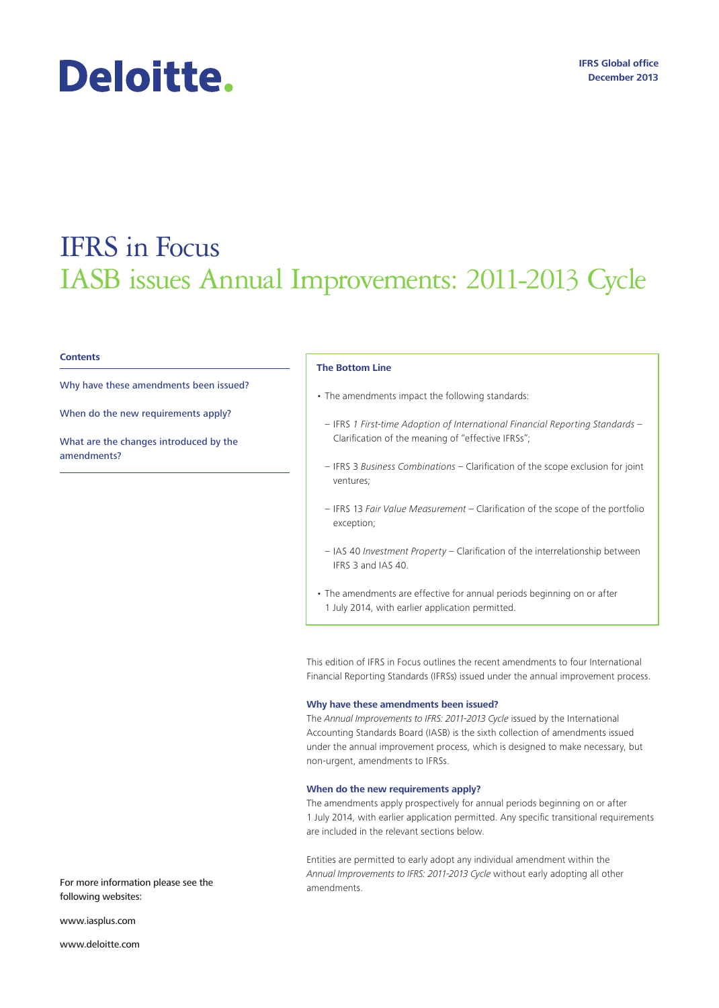# Deloitte.

## IFRS in Focus IASB issues Annual Improvements: 2011-2013 Cycle

#### **Contents**

Why have these amendments been issued?

When do the new requirements apply?

What are the changes introduced by the amendments?

#### **The Bottom Line**

- The amendments impact the following standards:
- IFRS *1 First-time Adoption of International Financial Reporting Standards* Clarification of the meaning of "effective IFRSs";
- IFRS 3 *Business Combinations*  Clarification of the scope exclusion for joint ventures;
- IFRS 13 *Fair Value Measurement*  Clarification of the scope of the portfolio exception;
- IAS 40 *Investment Property* Clarification of the interrelationship between IFRS 3 and IAS 40.
- The amendments are effective for annual periods beginning on or after 1 July 2014, with earlier application permitted.

This edition of IFRS in Focus outlines the recent amendments to four International Financial Reporting Standards (IFRSs) issued under the annual improvement process.

#### **Why have these amendments been issued?**

The *Annual Improvements to IFRS: 2011-2013 Cycle* issued by the International Accounting Standards Board (IASB) is the sixth collection of amendments issued under the annual improvement process, which is designed to make necessary, but non-urgent, amendments to IFRSs.

#### **When do the new requirements apply?**

The amendments apply prospectively for annual periods beginning on or after 1 July 2014, with earlier application permitted. Any specific transitional requirements are included in the relevant sections below.

Entities are permitted to early adopt any individual amendment within the *Annual Improvements to IFRS: 2011-2013 Cycle* without early adopting all other

For more information please see the amendments. following websites:

www.iasplus.com

www.deloitte.com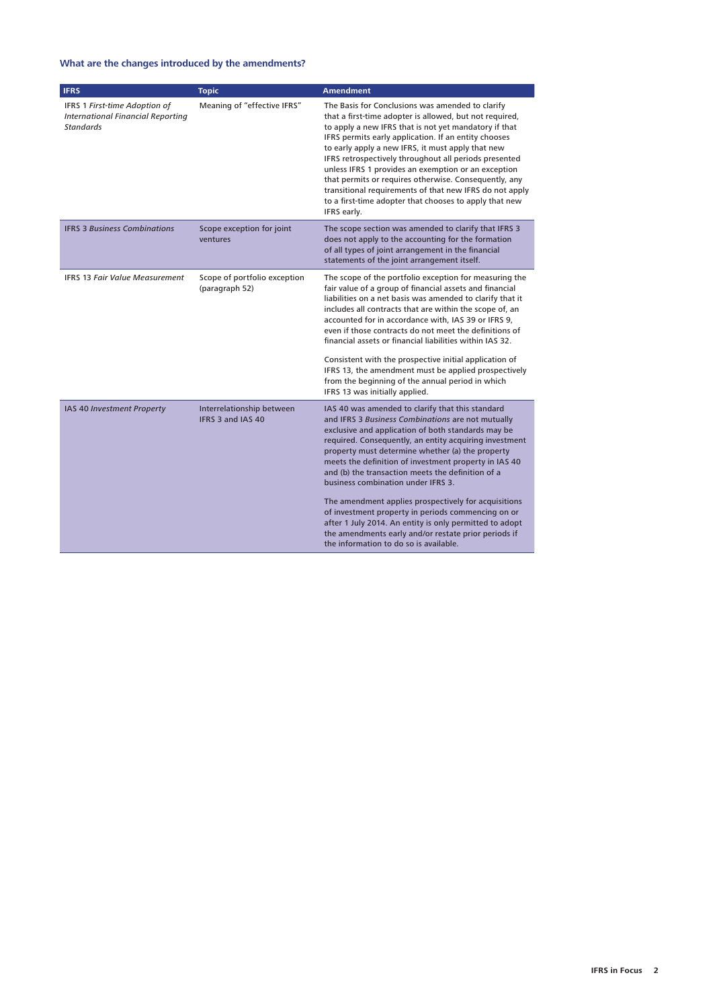### **What are the changes introduced by the amendments?**

| <b>IFRS</b>                                                                                   | <b>Topic</b>                                   | <b>Amendment</b>                                                                                                                                                                                                                                                                                                                                                                                                                                                                                                                                                                                                                                                                                         |
|-----------------------------------------------------------------------------------------------|------------------------------------------------|----------------------------------------------------------------------------------------------------------------------------------------------------------------------------------------------------------------------------------------------------------------------------------------------------------------------------------------------------------------------------------------------------------------------------------------------------------------------------------------------------------------------------------------------------------------------------------------------------------------------------------------------------------------------------------------------------------|
| IFRS 1 First-time Adoption of<br><b>International Financial Reporting</b><br><b>Standards</b> | Meaning of "effective IFRS"                    | The Basis for Conclusions was amended to clarify<br>that a first-time adopter is allowed, but not required,<br>to apply a new IFRS that is not yet mandatory if that<br>IFRS permits early application. If an entity chooses<br>to early apply a new IFRS, it must apply that new<br>IFRS retrospectively throughout all periods presented<br>unless IFRS 1 provides an exemption or an exception<br>that permits or requires otherwise. Consequently, any<br>transitional requirements of that new IFRS do not apply<br>to a first-time adopter that chooses to apply that new<br>IFRS early.                                                                                                           |
| <b>IFRS 3 Business Combinations</b>                                                           | Scope exception for joint<br>ventures          | The scope section was amended to clarify that IFRS 3<br>does not apply to the accounting for the formation<br>of all types of joint arrangement in the financial<br>statements of the joint arrangement itself.                                                                                                                                                                                                                                                                                                                                                                                                                                                                                          |
| <b>IFRS 13 Fair Value Measurement</b>                                                         | Scope of portfolio exception<br>(paragraph 52) | The scope of the portfolio exception for measuring the<br>fair value of a group of financial assets and financial<br>liabilities on a net basis was amended to clarify that it<br>includes all contracts that are within the scope of, an<br>accounted for in accordance with, IAS 39 or IFRS 9,<br>even if those contracts do not meet the definitions of<br>financial assets or financial liabilities within IAS 32.<br>Consistent with the prospective initial application of<br>IFRS 13, the amendment must be applied prospectively<br>from the beginning of the annual period in which<br>IFRS 13 was initially applied.                                                                           |
| IAS 40 Investment Property                                                                    | Interrelationship between<br>IFRS 3 and IAS 40 | IAS 40 was amended to clarify that this standard<br>and IFRS 3 Business Combinations are not mutually<br>exclusive and application of both standards may be<br>required. Consequently, an entity acquiring investment<br>property must determine whether (a) the property<br>meets the definition of investment property in IAS 40<br>and (b) the transaction meets the definition of a<br>business combination under IFRS 3.<br>The amendment applies prospectively for acquisitions<br>of investment property in periods commencing on or<br>after 1 July 2014. An entity is only permitted to adopt<br>the amendments early and/or restate prior periods if<br>the information to do so is available. |